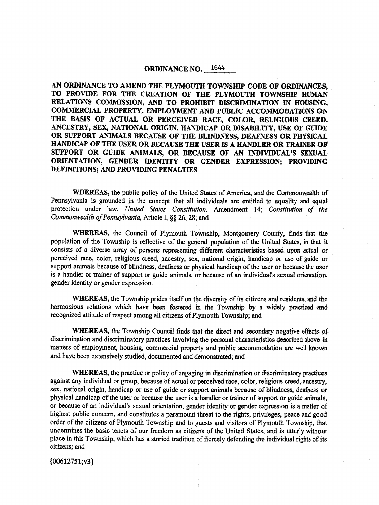# ORDINANCE NO. 1644

AN ORDINANCE TO AMEND THE PLYMOUTH TOWNSHIP CODE OF ORDINANCES, TO PROVIDE FOR THE CREATION OF THE PLYMOUTH TOWNSHIP HUMAN RELATIONS COMMISSION, AND TO PROHIBIT DISCRIMINATION IN HOUSING, COMMERCIAL PROPERTY, EMPLOYMENT AND PUBLIC ACCOMMODATIONS ON THE BASIS OF ACTUAL OR PERCEIVED RACE, COLOR, RELIGIOUS CREED, ANCESTRY, SEX, NATIONAL ORIGIN, HANDICAP OR DISABILITY, USE OF GUIDE OR SUPPORT ANIMALS BECAUSE OF THE BLINDNESS, DEAFNESS OR PHYSICAL HANDICAP OF THE USER OR BECAUSE THE USER IS A HANDLER OR TRAINER OF SUPPORT OR GUIDE ANIMALS, OR BECAUSE OF AN INDIVIDUAL'S SEXUAL ORIENTATION, GENDER IDENTITY OR GENDER EXPRESSION; PROVIDING DEFINITIONS; AND PROVIDING PENALTIES

WHEREAS, the public policy of the United States of America, and the Commonwealth of Pennsylvania is grounded in the concept that all individuals are entitled to equality and equal protection under law, United States Constitution, Amendment 14; Constitution of the Commonwealth of Pennsylvania, Article I, §§ 26, 28; and

WHEREAS, the Council of Plymouth Township, Montgomery County, finds that the population of the Township is reflective of the general population of the United States, in that it consists of a diverse array of persons representing different characteristics based upon actual or perceived race, color, religious creed, ancestry, sex, national origin, handicap or use of guide or support animals because of blindness, deafness or physical handicap of the user or because the user is <sup>a</sup> handler or trainer of support or guide animals, or because of an individual's sexual orientation, gender identity or gender expression,

WHEREAS, the Township prides itself on the diversity of its citizens and residents, and the harmonious relations which have been fostered in the Township by a widely practiced and recognized attitude of respect among all citizens of Plymouth Township; and

WHEREAS, the Township Council finds that the direct and secondary negative effects of discrimination and discriminatory practices involving the personal characteristics described above in matters of employment, housing, commercial property and public accommodation are well known and have been extensively studied, documented and demonstrated; and

WHEREAS, the practice or policy of engaging in discrimination or discriminatory practices against any individual or group, because of actual or perceived race, color, religious creed, ancestry, sex, national origin, handicap or use of guide or support animals because of blindness, deafness or physical handicap of the user or because the user is <sup>a</sup> handler or trainer of support or guide animals, or because of an individual's sexual orientation, gender identity or gender expression is a matter of highest public concern, and constitutes a paramount threat to the rights, privileges, peace and good order of the citizens of Plymouth Township and to guests and visitors of Plymouth Township, that undermines the basic tenets of our freedom as citizens of the United States, and is utterly without place in this Township, which has a storied tradition of fiercely defending the individual rights of its citizens; and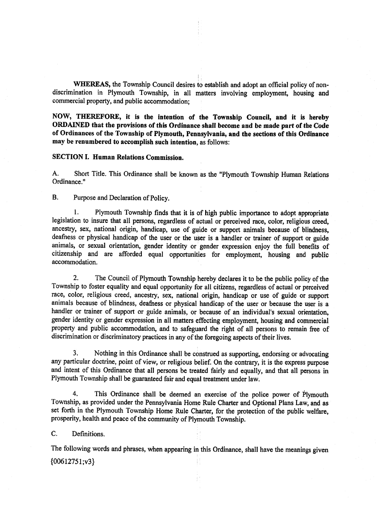WHEREAS, the Township Council desires to establish and adopt an official policy of nondiscrimination in. Plymouth Township, in all matters involving employment, housing and commercial property, and public accommodation;

NOW, THEREFORE, it is the intention of the Township Council, and it is hereby ORDAINED that the provisions of this Ordinance shall become and be made part of the Code of Ordinances of the Township of Plymouth, Pennsylvania, and the sections of this Ordinance may be renumbered to accomplish such intention, as follows:

## SECTION I. Human Relations Commission.

A. Short Title. This Ordinance shall be known as the " Plymouth Township Human Relations Ordinance."

B. Purpose and Declaration of Policy.

Plymouth Township finds that it is of high public importance to adopt appropriate legislation to insure that all persons, regardless of actual or perceived race, color, religious creed, ancestry, sex, national origin, handicap, use of guide or support animals because of blindness, deafness or physical handicap of the user or the user is <sup>a</sup> handler or trainer of support or guide animals, or sexual orientation, gender identity or gender expression enjoy the full benefits of citizenship and are afforded equal opportunities for employment, housing and public accommodation.

2. The Council of Plymouth Township hereby declares it to be the public policy of the Township to foster equality and equal opportunity for all citizens, regardless of actual or perceived race, color, religious creed, ancestry, sex, national origin, handicap or use of guide or support animals because of blindness, deafness or physical handicap of the user or because the user is a handler or trainer of support or guide animals, or because of an individual's sexual orientation, gender identity or gender expression in all matters effecting employment, housing and commercial property and public accommodation, and to safeguard the right of all persons to remain free of discrimination or discriminatory practices in any of the foregoing aspects of their lives.

3. Nothing in this Ordinance shall be construed as supporting, endorsing or advocating any particular doctrine, point of view, or religious belief. On the contrary, it is the express purpose and intent of this Ordinance that all persons be treated fairly and equally, and that all persons in Plymouth Township shall be guaranteed fair and equal treatment under law.

4. This Ordinance shall be deemed an exercise of the police power of Plymouth Township, as provided under the Pennsylvania Home Rule Charter and Optional Plans Law, and as set forth in the Plymouth Township Home Rule Charter, for the protection of the public welfare, prosperity, health and peace of the community of Plymouth Township.

C. Definitions.

The following words and phrases, when appearing in this Ordinance, shall have the meanings given  ${00612751; v3}$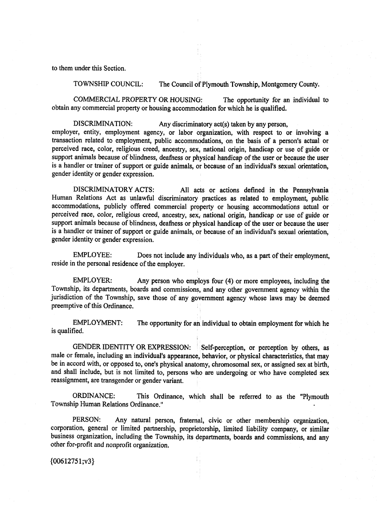to them under this Section.

TOWNSHIP COUNCIL: The Council of Plymouth Township, Montgomery County.

COMMERCIAL PROPERTY OR HOUSING: The opportunity for an individual to obtain any commercial property or housing accommodation for which he is qualified.

DISCRIMINATION: Any discriminatory act(s) taken by any person, employer, entity, employment agency, or labor organization, with respect to or involving a transaction related to employment, public accommodations, on the basis of <sup>a</sup> person's actual or perceived race, color, religious creed, ancestry, sex, national origin, handicap or use of guide or support animals because of blindness, deafness or physical handicap of the user or because the user is <sup>a</sup> handler or trainer of support or guide animals, or because of an individual's sexual orientation, gender identity or gender expression.

DISCRIMINATORY ACTS: All acts or actions defined in the Pennsylvania Human Relations Act as unlawful discriminatory practices as related to employment, public accommodations, publicly offered commercial property or housing accommodations actual or perceived race, color, religious creed, ancestry, sex, national origin, handicap or use of guide or support animals because of blindness, deafness or physical handicap of the user or because the user is a handler or trainer of support or guide animals, or because of an individual's sexual orientation, gender identity or gender expression.

EMPLOYEE: Does not include any individuals who, as <sup>a</sup> part of their employment, reside in the personal residence of the employer.

EMPLOYER: Any person who employs four (4) or more employees, including the Township, its departments, boards and commissions, and any other government agency within the jurisdiction of the Township, save those of any government agency whose laws may be deemed preemptive of this Ordinance.

EMPLOYMENT: The opportunity for an individual to obtain employment for which he is qualified.

GENDER IDENTITY OR EXPRESSION: Self-perception, or perception by others, as male or female, including an individual's appearance, behavior, or physical characteristics, that may be in accord with, or opposed to, one's physical anatomy, chromosomal sex, or assigned sex at birth, and shall include, but is not limited to, persons who are undergoing or who have completed sex reassignment, are transgender or gender variant.

ORDINANCE: This Ordinance, which shall be referred to as the "Plymouth Township Human Relations Ordinance."

PERSON: Any natural person, fraternal, civic or other membership organization, corporation, general or limited partnership, proprietorship, limited liability company, or similar business organization, including the Township, its departments, boards and commissions, and any other for-profit and nonprofit organization.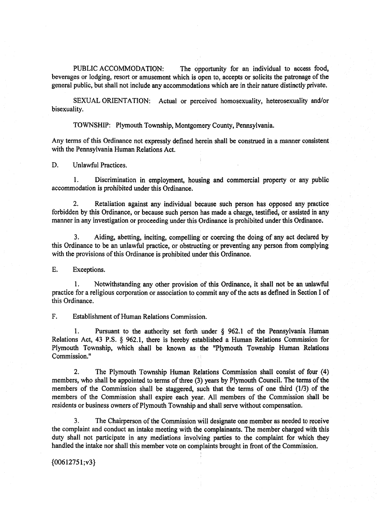PUBLIC ACCOMMODATION: The opportunity for an individual to access food, beverages or lodging, resort or amusement which is open to, accepts or solicits the patronage of the general public, but shall not include any accommodations which are in their nature distinctly private.

SEXUAL ORIENTATION: Actual or perceived homosexuality, heterosexuality and/or bisexuality.

TOWNSHIP: Plymouth Township, Montgomery County, Pennsylvania.

Any terms of this Ordinance not expressly defined herein shall be construed in a manner consistent with the Pennsylvania Human Relations Act.

D. Unlawful Practices.

1. Discrimination in employment, housing and commercial property or any public accommodation is prohibited under this Ordinance.

2. Retaliation against any individual because such person has opposed any practice forbidden by this Ordinance, or because such person has made a charge, testified, or assisted in any manner in any investigation or proceeding under this Ordinance is prohibited under this Ordinance.

3. Aiding, abetting, inciting, compelling or coercing the doing of any act declared by this Ordinance to be an unlawful practice, or obstructing or preventing any person from complying with the provisions of this Ordinance is prohibited under this Ordinance.

E. Exceptions.

1. Notwithstanding any other provision of this Ordinance, it shall not be an unlawful practice for <sup>a</sup> religious corporation or association to commit any ofthe acts as defined in Section I of this Ordinance.

F. Establishment of Human Relations Commission.

I. Pursuant to the authority set forth under § 962. <sup>1</sup> of the Pennsylvania Human Relations Act, 43 P.S. § 962.1, there is hereby established a Human Relations Commission for Plymouth Township, which shall be known as the "Plymouth Township Human Relations" Commission."

2. The Plymouth Township Human Relations Commission shall consist of four (4) members, who shall be appointed to terms of three (3) years by Plymouth Council. The terms of the members of the Commission shall be staggered, such that the terms of one third  $(1/3)$  of the members of the Commission shall expire each year. All members of the Commission shall be residents or business owners of Plymouth Township and shall serve without compensation.

3. The Chairperson of the Commission will designate one member as needed to receive the complaint and conduct an intake meeting with the complainants. The member charged with this duty shall not participate in any mediations involving parties to the complaint for which they handled the intake nor shall this member vote on complaints brought in front of the Commission.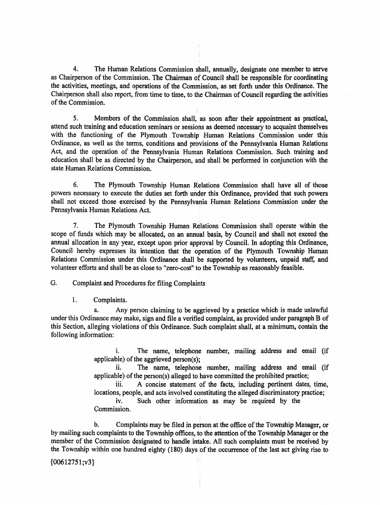4. The Human Relations Commission shall, annually, designate one member to serve as Chairperson of the Commission. The Chairman of Council shall be responsible for coordinating the activities, meetings, and operations of the Commission, as set forth under this Ordinance. The Chairperson shall also report, from time to time, to the Chairman of Council regarding the activities of the Commission.

5. Members of the Commission shall, as soon after their appointment as practical, attend such training and education seminars or sessions as deemed necessary to acquaint themselves with the functioning of the Plymouth Township Human Relations Commission under this Ordinance, as well as the terms, conditions and provisions of the Pennsylvania Human Relations Act, and the operation of the Pennsylvania Human Relations Commission. Such training and education shall be as directed by the Chairperson, and shall be performed in conjunction with the state Human Relations Commission.

6. The Plymouth Township Human Relations Commission shall have all of those powers necessary to execute the duties set forth under this Ordinance, provided that such powers shall not exceed those exercised by the Pennsylvania Human Relations Commission under the Pennsylvania Human Relations Act.

7. The Plymouth Township Human Relations Commission shall operate within the scope of funds which may be allocated, on an annual basis, by Council and shall not exceed the annual allocation in any year, except upon prior approval by Council. In adopting this Ordinance, Council hereby expresses its intention that the operation of the Plymouth Township Human Relations Commission under this Ordinance shall be supported by volunteers, unpaid staff, and volunteer efforts and shall be as close to "zero -cost" to the Township as reasonably feasible.

G. Complaint and Procedures for filing Complaints

1. Complaints.

Any person claiming to be aggrieved by a practice which is made unlawful under this Ordinance may make, sign and file <sup>a</sup> verified complaint, as provided under paragraph B of this Section, alleging violations of this Ordinance. Such complaint shall, at <sup>a</sup> minimum, contain the following information:

> i. The name, telephone number, mailing address and email (if applicable) of the aggrieved person( $s$ );

> ii. The name, telephone number, mailing address and email (if applicable) of the person(s) alleged to have committed the prohibited practice;

> iii. A concise statement of the facts, including pertinent dates, time, locations, people, and acts involved constituting the alleged discriminatory practice;

Such other information as may be required by the Commission.

b. Complaints may be filed in person at the office of the Township Manager, or by mailing such complaints to the Township offices, to the attention of the Township Manager or the member of the Commission designated to handle intake. All such complaints must be received by the Township within one hundred eighty (180) days of the occurrence of the last act giving rise to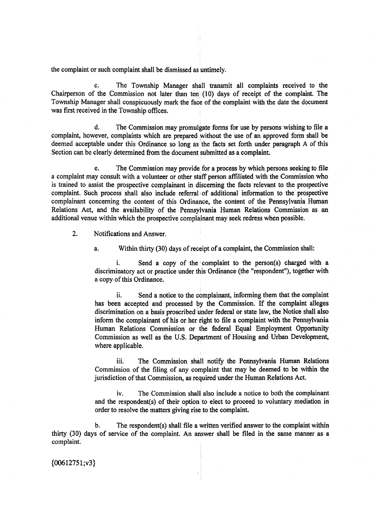the complaint or such complaint shall be dismissed as untimely.

C. The Township Manager shall transmit all complaints received to the Chairperson of the Commission not later than ten ( 10) days of receipt of the complaint. The Township Manager shall conspicuously mark the face of the complaint with the date the document was first received in the Township offices.

d. The Commission may promulgate forms for use by persons wishing to file a complaint, however, complaints which are prepared without the use of an approved form shall be deemed acceptable under this Ordinance so long as the facts set forth under paragraph. A of this Section can be clearly determined from the document submitted as a complaint.

e. The Commission may provide for <sup>a</sup> process by which persons seeking to file a complaint may consult with a volunteer or other staff person affiliated with the Commission who is trained to assist the prospective complainant in discerning the facts relevant to the prospective complaint. Such process shall also include referral of additional information to the prospective complainant concerning the content of this Ordinance, the content of the Pennsylvania Human Relations Act, and the availability of the Pennsylvania Human Relations Commission as an additional venue within which the prospective complainant may seek redress when possible.

2. Notifications and Answer.

a. Within thirty (30) days of receipt of a complaint, the Commission shall:

i. Send a copy of the complaint to the person(s) charged with a discriminatory act or practice under this Ordinance (the " respondent"), together with a copy of this Ordinance.

ii. Send <sup>a</sup> notice to the complainant, informing them that the complaint has been accepted and processed by the Commission. If the complaint alleges discrimination on a basis proscribed 'under federal or state law, the Notice shall also inform the complainant of his or her right to file <sup>a</sup> complaint with the Pennsylvania Human Relations Commission or the federal Equal Employment Opportunity Commission as well as the U.S. Department of Housing and Urban Development, where applicable.

iii. The Commission shall notify the Pennsylvania Human Relations Commission of the filing of any complaint that may be deemed to be within the jurisdiction of that Commission, as required under the Human Relations Act.

iv. The Commission shall also include a notice to both the complainant and the respondent(s) of their option to elect to proceed to voluntary mediation in order to resolve the matters giving rise to the complaint.

b. The respondent(s) shall file a written verified answer to the complaint within thirty ( 30) days of service of the complaint. An answer shall be filed in the same manner as <sup>a</sup> complaint.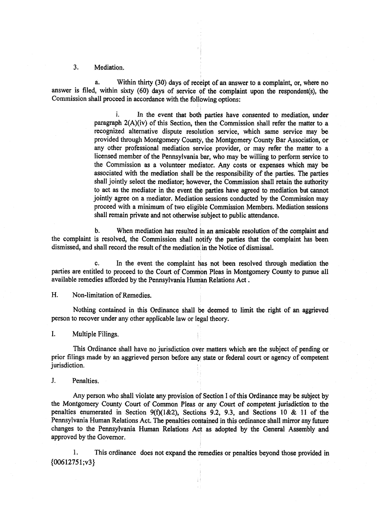#### 3. Mediation.

a. Within thirty (30) days of receipt of an answer to <sup>a</sup> complaint, or, where no answer is filed, within sixty (60) days of service of the complaint upon the respondent(s), the Commission shall proceed in accordance with the following options:

> i. In the event that both parties have consented to mediation, under paragraph 2(A)(iv) of this Section, then the Commission shall refer the matter to a recognized alternative dispute resolution service, which same service may be provided through Montgomery County, the Montgomery County Bar Association, or any other professional mediation service provider, or may refer the matter to a licensed member of the Pennsylvania bar, who may be willing to perform service to the Commission as a volunteer mediator. Any costs or expenses which may be associated with the mediation shall be the responsibility of the parties. The parties shall jointly select the mediator; however, the Commission shall retain the authority to act as the mediator in the event the parties have agreed to mediation but cannot jointly agree on a mediator. Mediation sessions conducted by the Commission may proceed with <sup>a</sup> minimum of two eligible Commission Members. Mediation sessions shall remain private and not otherwise subject to public attendance.

b. When mediation has resulted in an amicable resolution of the complaint and the complaint is resolved, the Commission shall notify the parties that the complaint has been dismissed, and shall record the result of the mediation in the Notice of dismissal.

C. In the event the complaint has not been resolved through mediation the parties are entitled to proceed to the Court of Common Pleas in Montgomery County to pursue all available remedies afforded by the Pennsylvania Human Relations Act .

H. Non-limitation of Remedies.

Nothing contained in this Ordinance shall be deemed to limit the right of an aggrieved person to recover under any other applicable law or legal theory.

I. Multiple Filings.

This Ordinance shall have no jurisdiction over matters which are the subject of pending or prior flings made by an aggrieved person before any, state or federal court or agency of competent jurisdiction.

J. Penalties.

Any person who shall violate any provision of Section I of this Ordinance may be subject by the Montgomery County Court of Common Pleas or any Court of competent jurisdiction to the penalties enumerated in Section 9(f)(1&2), Sections 9.2, 9.3, and Sections 10 & 11 of the Pennsylvania Human Relations Act. The penalties contained in this ordinance shall mirror any future changes to the Pennsylvania Human Relations Act as adopted by the General Assembly and approved by the Governor.

1. This ordinance does not expand the remedies or penalties beyond those provided in  ${00612751; v3}$